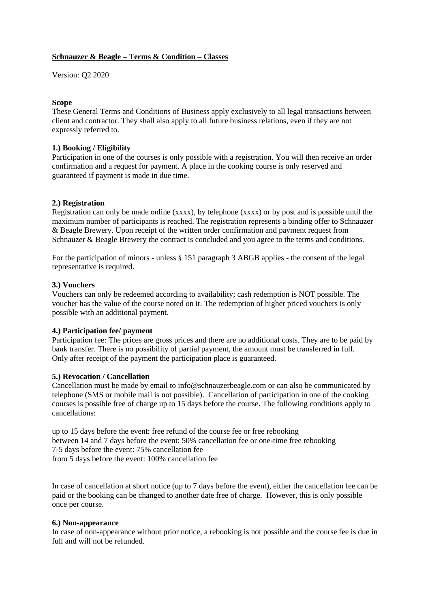## **Schnauzer & Beagle – Terms & Condition – Classes**

Version: Q2 2020

## **Scope**

These General Terms and Conditions of Business apply exclusively to all legal transactions between client and contractor. They shall also apply to all future business relations, even if they are not expressly referred to.

# **1.) Booking / Eligibility**

Participation in one of the courses is only possible with a registration. You will then receive an order confirmation and a request for payment. A place in the cooking course is only reserved and guaranteed if payment is made in due time.

# **2.) Registration**

Registration can only be made online (xxxx), by telephone (xxxx) or by post and is possible until the maximum number of participants is reached. The registration represents a binding offer to Schnauzer & Beagle Brewery. Upon receipt of the written order confirmation and payment request from Schnauzer & Beagle Brewery the contract is concluded and you agree to the terms and conditions.

For the participation of minors - unless § 151 paragraph 3 ABGB applies - the consent of the legal representative is required.

#### **3.) Vouchers**

Vouchers can only be redeemed according to availability; cash redemption is NOT possible. The voucher has the value of the course noted on it. The redemption of higher priced vouchers is only possible with an additional payment.

#### **4.) Participation fee/ payment**

Participation fee: The prices are gross prices and there are no additional costs. They are to be paid by bank transfer. There is no possibility of partial payment, the amount must be transferred in full. Only after receipt of the payment the participation place is guaranteed.

#### **5.) Revocation / Cancellation**

Cancellation must be made by email to info@schnauzerbeagle.com or can also be communicated by telephone (SMS or mobile mail is not possible). Cancellation of participation in one of the cooking courses is possible free of charge up to 15 days before the course. The following conditions apply to cancellations:

up to 15 days before the event: free refund of the course fee or free rebooking between 14 and 7 days before the event: 50% cancellation fee or one-time free rebooking 7-5 days before the event: 75% cancellation fee from 5 days before the event: 100% cancellation fee

In case of cancellation at short notice (up to 7 days before the event), either the cancellation fee can be paid or the booking can be changed to another date free of charge. However, this is only possible once per course.

#### **6.) Non-appearance**

In case of non-appearance without prior notice, a rebooking is not possible and the course fee is due in full and will not be refunded.